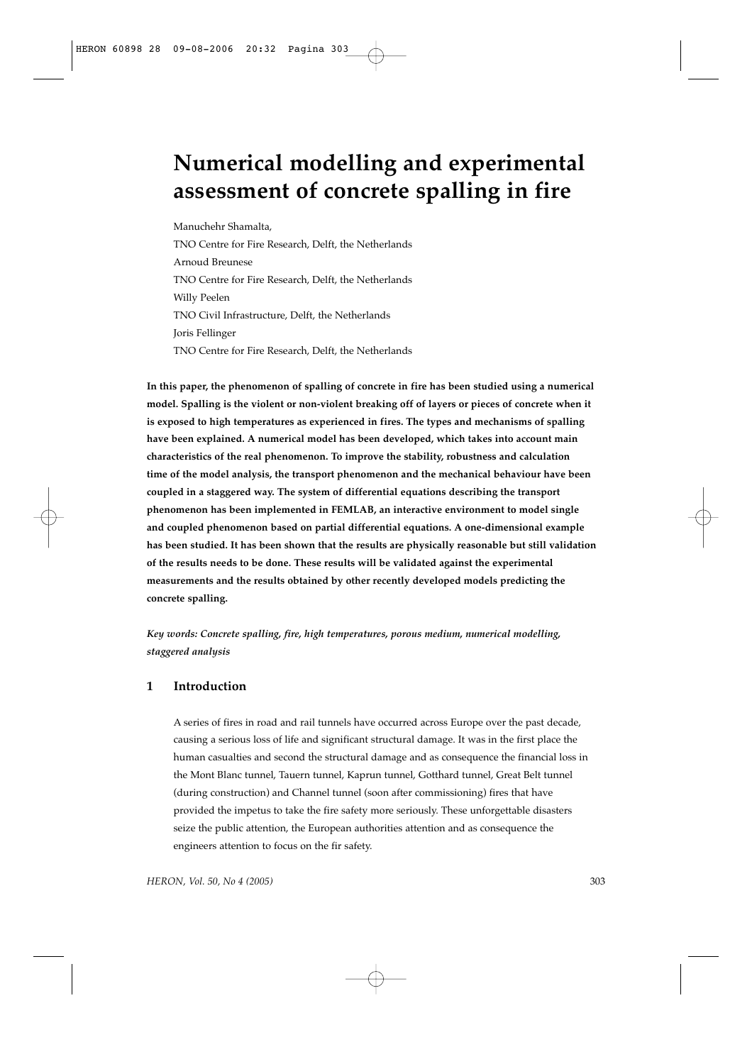# **Numerical modelling and experimental assessment of concrete spalling in fire**

Manuchehr Shamalta, TNO Centre for Fire Research, Delft, the Netherlands Arnoud Breunese TNO Centre for Fire Research, Delft, the Netherlands Willy Peelen TNO Civil Infrastructure, Delft, the Netherlands Joris Fellinger TNO Centre for Fire Research, Delft, the Netherlands

**In this paper, the phenomenon of spalling of concrete in fire has been studied using a numerical model. Spalling is the violent or non-violent breaking off of layers or pieces of concrete when it is exposed to high temperatures as experienced in fires. The types and mechanisms of spalling have been explained. A numerical model has been developed, which takes into account main characteristics of the real phenomenon. To improve the stability, robustness and calculation time of the model analysis, the transport phenomenon and the mechanical behaviour have been coupled in a staggered way. The system of differential equations describing the transport phenomenon has been implemented in FEMLAB, an interactive environment to model single and coupled phenomenon based on partial differential equations. A one-dimensional example has been studied. It has been shown that the results are physically reasonable but still validation of the results needs to be done. These results will be validated against the experimental measurements and the results obtained by other recently developed models predicting the concrete spalling.**

*Key words: Concrete spalling, fire, high temperatures, porous medium, numerical modelling, staggered analysis*

# **1 Introduction**

A series of fires in road and rail tunnels have occurred across Europe over the past decade, causing a serious loss of life and significant structural damage. It was in the first place the human casualties and second the structural damage and as consequence the financial loss in the Mont Blanc tunnel, Tauern tunnel, Kaprun tunnel, Gotthard tunnel, Great Belt tunnel (during construction) and Channel tunnel (soon after commissioning) fires that have provided the impetus to take the fire safety more seriously. These unforgettable disasters seize the public attention, the European authorities attention and as consequence the engineers attention to focus on the fir safety.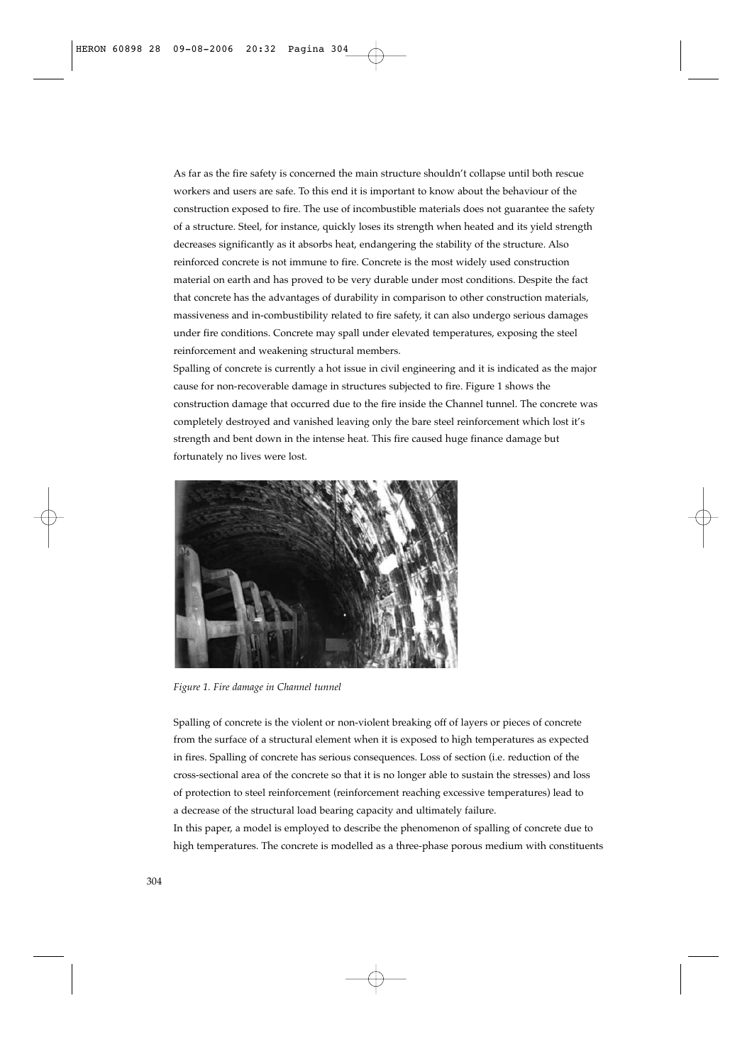As far as the fire safety is concerned the main structure shouldn't collapse until both rescue workers and users are safe. To this end it is important to know about the behaviour of the construction exposed to fire. The use of incombustible materials does not guarantee the safety of a structure. Steel, for instance, quickly loses its strength when heated and its yield strength decreases significantly as it absorbs heat, endangering the stability of the structure. Also reinforced concrete is not immune to fire. Concrete is the most widely used construction material on earth and has proved to be very durable under most conditions. Despite the fact that concrete has the advantages of durability in comparison to other construction materials, massiveness and in-combustibility related to fire safety, it can also undergo serious damages under fire conditions. Concrete may spall under elevated temperatures, exposing the steel reinforcement and weakening structural members.

Spalling of concrete is currently a hot issue in civil engineering and it is indicated as the major cause for non-recoverable damage in structures subjected to fire. Figure 1 shows the construction damage that occurred due to the fire inside the Channel tunnel. The concrete was completely destroyed and vanished leaving only the bare steel reinforcement which lost it's strength and bent down in the intense heat. This fire caused huge finance damage but fortunately no lives were lost.



*Figure 1. Fire damage in Channel tunnel*

Spalling of concrete is the violent or non-violent breaking off of layers or pieces of concrete from the surface of a structural element when it is exposed to high temperatures as expected in fires. Spalling of concrete has serious consequences. Loss of section (i.e. reduction of the cross-sectional area of the concrete so that it is no longer able to sustain the stresses) and loss of protection to steel reinforcement (reinforcement reaching excessive temperatures) lead to a decrease of the structural load bearing capacity and ultimately failure.

In this paper, a model is employed to describe the phenomenon of spalling of concrete due to high temperatures. The concrete is modelled as a three-phase porous medium with constituents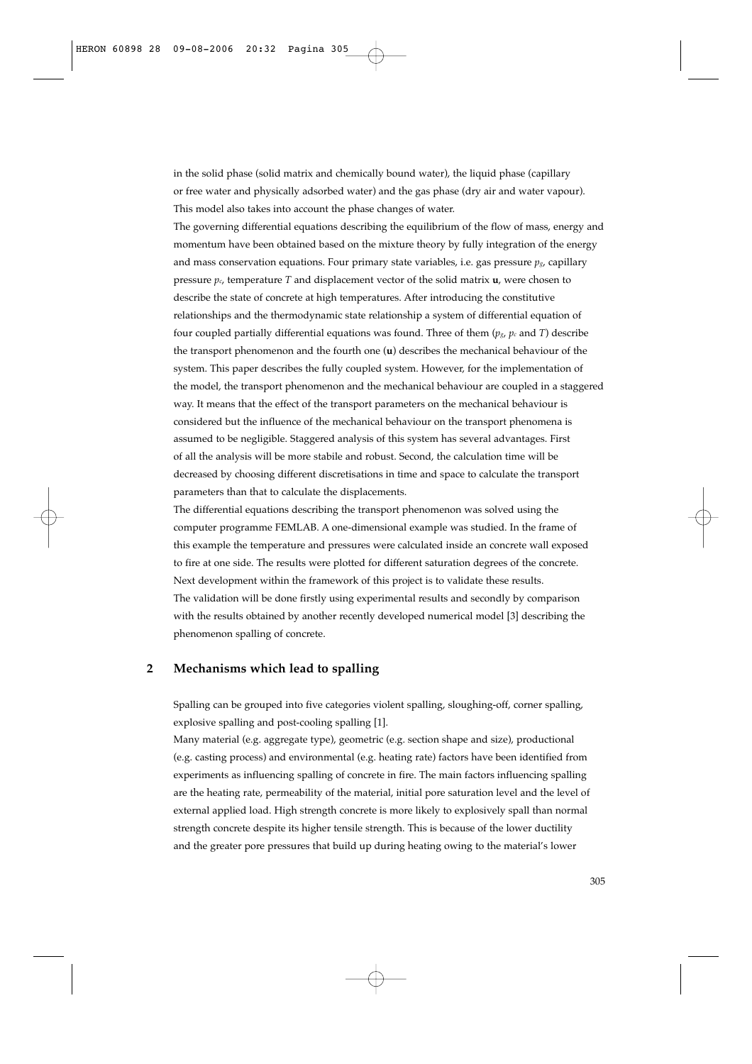in the solid phase (solid matrix and chemically bound water), the liquid phase (capillary or free water and physically adsorbed water) and the gas phase (dry air and water vapour). This model also takes into account the phase changes of water.

The governing differential equations describing the equilibrium of the flow of mass, energy and momentum have been obtained based on the mixture theory by fully integration of the energy and mass conservation equations. Four primary state variables, i.e. gas pressure  $p_{g}$ , capillary pressure  $p_c$ , temperature *T* and displacement vector of the solid matrix **u**, were chosen to describe the state of concrete at high temperatures. After introducing the constitutive relationships and the thermodynamic state relationship a system of differential equation of four coupled partially differential equations was found. Three of them  $(p_g, p_c \text{ and } T)$  describe the transport phenomenon and the fourth one (**u**) describes the mechanical behaviour of the system. This paper describes the fully coupled system. However, for the implementation of the model, the transport phenomenon and the mechanical behaviour are coupled in a staggered way. It means that the effect of the transport parameters on the mechanical behaviour is considered but the influence of the mechanical behaviour on the transport phenomena is assumed to be negligible. Staggered analysis of this system has several advantages. First of all the analysis will be more stabile and robust. Second, the calculation time will be decreased by choosing different discretisations in time and space to calculate the transport parameters than that to calculate the displacements.

The differential equations describing the transport phenomenon was solved using the computer programme FEMLAB. A one-dimensional example was studied. In the frame of this example the temperature and pressures were calculated inside an concrete wall exposed to fire at one side. The results were plotted for different saturation degrees of the concrete. Next development within the framework of this project is to validate these results. The validation will be done firstly using experimental results and secondly by comparison with the results obtained by another recently developed numerical model [3] describing the phenomenon spalling of concrete.

# **2 Mechanisms which lead to spalling**

Spalling can be grouped into five categories violent spalling, sloughing-off, corner spalling, explosive spalling and post-cooling spalling [1].

Many material (e.g. aggregate type), geometric (e.g. section shape and size), productional (e.g. casting process) and environmental (e.g. heating rate) factors have been identified from experiments as influencing spalling of concrete in fire. The main factors influencing spalling are the heating rate, permeability of the material, initial pore saturation level and the level of external applied load. High strength concrete is more likely to explosively spall than normal strength concrete despite its higher tensile strength. This is because of the lower ductility and the greater pore pressures that build up during heating owing to the material's lower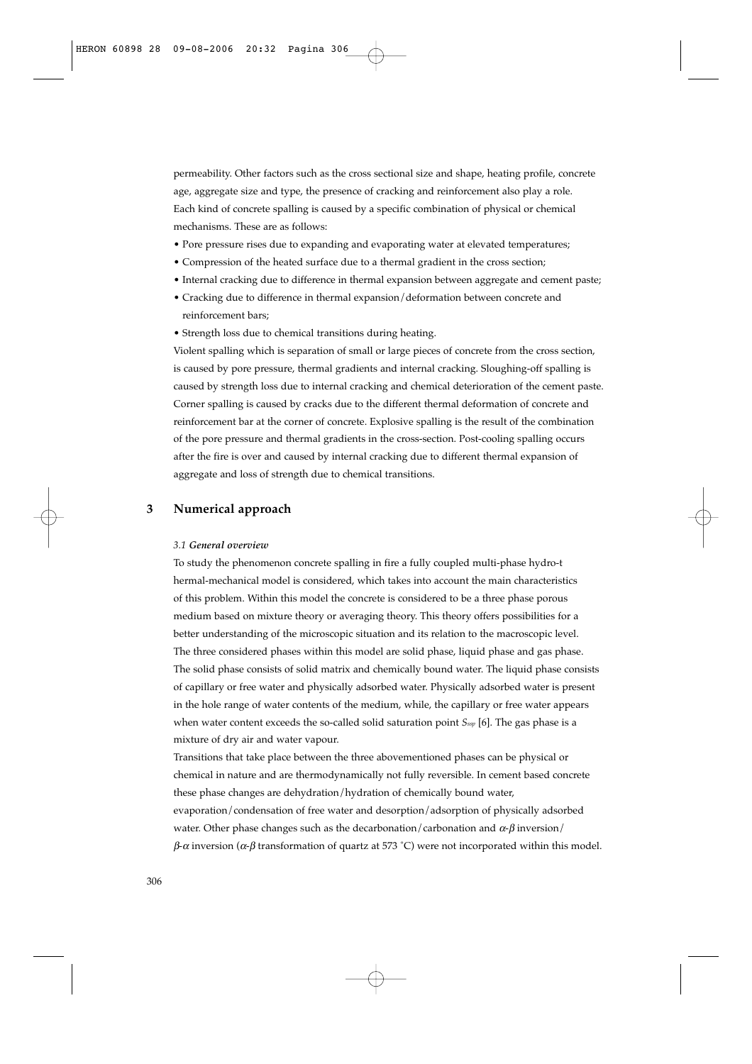permeability. Other factors such as the cross sectional size and shape, heating profile, concrete age, aggregate size and type, the presence of cracking and reinforcement also play a role. Each kind of concrete spalling is caused by a specific combination of physical or chemical mechanisms. These are as follows:

- Pore pressure rises due to expanding and evaporating water at elevated temperatures;
- Compression of the heated surface due to a thermal gradient in the cross section;
- Internal cracking due to difference in thermal expansion between aggregate and cement paste;
- Cracking due to difference in thermal expansion/deformation between concrete and reinforcement bars;
- Strength loss due to chemical transitions during heating.

Violent spalling which is separation of small or large pieces of concrete from the cross section, is caused by pore pressure, thermal gradients and internal cracking. Sloughing-off spalling is caused by strength loss due to internal cracking and chemical deterioration of the cement paste. Corner spalling is caused by cracks due to the different thermal deformation of concrete and reinforcement bar at the corner of concrete. Explosive spalling is the result of the combination of the pore pressure and thermal gradients in the cross-section. Post-cooling spalling occurs after the fire is over and caused by internal cracking due to different thermal expansion of aggregate and loss of strength due to chemical transitions.

## **3 Numerical approach**

#### *3.1 General overview*

To study the phenomenon concrete spalling in fire a fully coupled multi-phase hydro-t hermal-mechanical model is considered, which takes into account the main characteristics of this problem. Within this model the concrete is considered to be a three phase porous medium based on mixture theory or averaging theory. This theory offers possibilities for a better understanding of the microscopic situation and its relation to the macroscopic level. The three considered phases within this model are solid phase, liquid phase and gas phase. The solid phase consists of solid matrix and chemically bound water. The liquid phase consists of capillary or free water and physically adsorbed water. Physically adsorbed water is present in the hole range of water contents of the medium, while, the capillary or free water appears when water content exceeds the so-called solid saturation point *Sssp* [6]. The gas phase is a mixture of dry air and water vapour.

Transitions that take place between the three abovementioned phases can be physical or chemical in nature and are thermodynamically not fully reversible. In cement based concrete these phase changes are dehydration/hydration of chemically bound water, evaporation/condensation of free water and desorption/adsorption of physically adsorbed water. Other phase changes such as the decarbonation/carbonation and  $\alpha$ - $\beta$  inversion/  $\beta$ - $\alpha$  inversion ( $\alpha$ - $\beta$  transformation of quartz at 573 °C) were not incorporated within this model.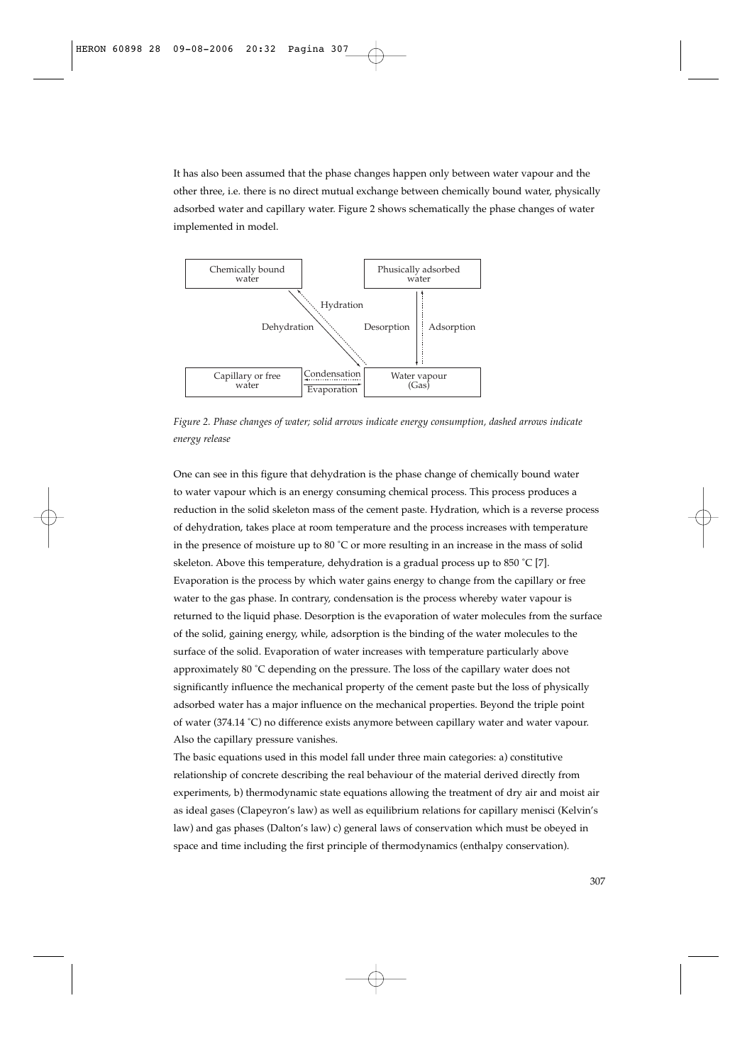It has also been assumed that the phase changes happen only between water vapour and the other three, i.e. there is no direct mutual exchange between chemically bound water, physically adsorbed water and capillary water. Figure 2 shows schematically the phase changes of water implemented in model.



*Figure 2. Phase changes of water; solid arrows indicate energy consumption, dashed arrows indicate energy release*

One can see in this figure that dehydration is the phase change of chemically bound water to water vapour which is an energy consuming chemical process. This process produces a reduction in the solid skeleton mass of the cement paste. Hydration, which is a reverse process of dehydration, takes place at room temperature and the process increases with temperature in the presence of moisture up to 80 ˚C or more resulting in an increase in the mass of solid skeleton. Above this temperature, dehydration is a gradual process up to 850 °C [7]. Evaporation is the process by which water gains energy to change from the capillary or free water to the gas phase. In contrary, condensation is the process whereby water vapour is returned to the liquid phase. Desorption is the evaporation of water molecules from the surface of the solid, gaining energy, while, adsorption is the binding of the water molecules to the surface of the solid. Evaporation of water increases with temperature particularly above approximately 80 ˚C depending on the pressure. The loss of the capillary water does not significantly influence the mechanical property of the cement paste but the loss of physically adsorbed water has a major influence on the mechanical properties. Beyond the triple point of water (374.14 ˚C) no difference exists anymore between capillary water and water vapour. Also the capillary pressure vanishes.

The basic equations used in this model fall under three main categories: a) constitutive relationship of concrete describing the real behaviour of the material derived directly from experiments, b) thermodynamic state equations allowing the treatment of dry air and moist air as ideal gases (Clapeyron's law) as well as equilibrium relations for capillary menisci (Kelvin's law) and gas phases (Dalton's law) c) general laws of conservation which must be obeyed in space and time including the first principle of thermodynamics (enthalpy conservation).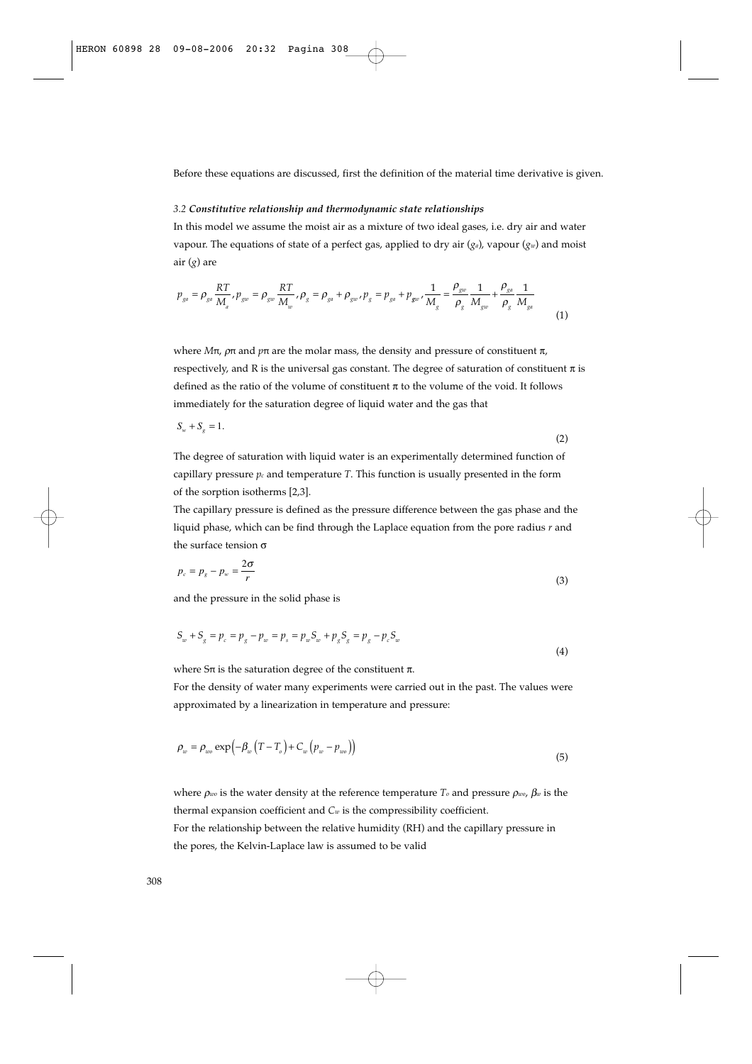Before these equations are discussed, first the definition of the material time derivative is given.

#### *3.2 Constitutive relationship and thermodynamic state relationships*

In this model we assume the moist air as a mixture of two ideal gases, i.e. dry air and water vapour. The equations of state of a perfect gas, applied to dry air (*ga*), vapour (*gw*) and moist air (*g*) are

$$
p_{ga} = \rho_{ga} \frac{RT}{M_a}, p_{gw} = \rho_{gw} \frac{RT}{M_w}, \rho_g = \rho_{ga} + \rho_{gw}, p_g = p_{ga} + p_{gw} \frac{1}{M_g} = \frac{\rho_{gw}}{\rho_g} \frac{1}{M_{gw}} + \frac{\rho_{ga}}{\rho_g} \frac{1}{M_{ga}} \tag{1}
$$

where *Mπ*,  $ρπ$  and  $pπ$  are the molar mass, the density and pressure of constituent  $π$ , respectively, and R is the universal gas constant. The degree of saturation of constituent  $\pi$  is defined as the ratio of the volume of constituent  $\pi$  to the volume of the void. It follows immediately for the saturation degree of liquid water and the gas that

$$
S_w + S_g = 1.\tag{2}
$$

The degree of saturation with liquid water is an experimentally determined function of capillary pressure  $p_c$  and temperature  $T$ . This function is usually presented in the form of the sorption isotherms [2,3].

The capillary pressure is defined as the pressure difference between the gas phase and the liquid phase, which can be find through the Laplace equation from the pore radius *r* and the surface tension σ

$$
p_c = p_g - p_w = \frac{2\sigma}{r} \tag{3}
$$

and the pressure in the solid phase is

$$
S_w + S_g = p_c = p_g - p_w = p_s = p_w S_w + p_g S_g = p_g - p_c S_w
$$
\n(4)

where  $S\pi$  is the saturation degree of the constituent  $\pi$ .

For the density of water many experiments were carried out in the past. The values were approximated by a linearization in temperature and pressure:

$$
\rho_w = \rho_{w0} \exp\left(-\beta_w \left(T - T_o\right) + C_w \left(p_w - p_{w0}\right)\right) \tag{5}
$$

where  $\rho_{w0}$  is the water density at the reference temperature *T*<sub>*o*</sub> and pressure  $\rho_{w0}$ ,  $\beta_w$  is the thermal expansion coefficient and *Cw* is the compressibility coefficient.

For the relationship between the relative humidity (RH) and the capillary pressure in the pores, the Kelvin-Laplace law is assumed to be valid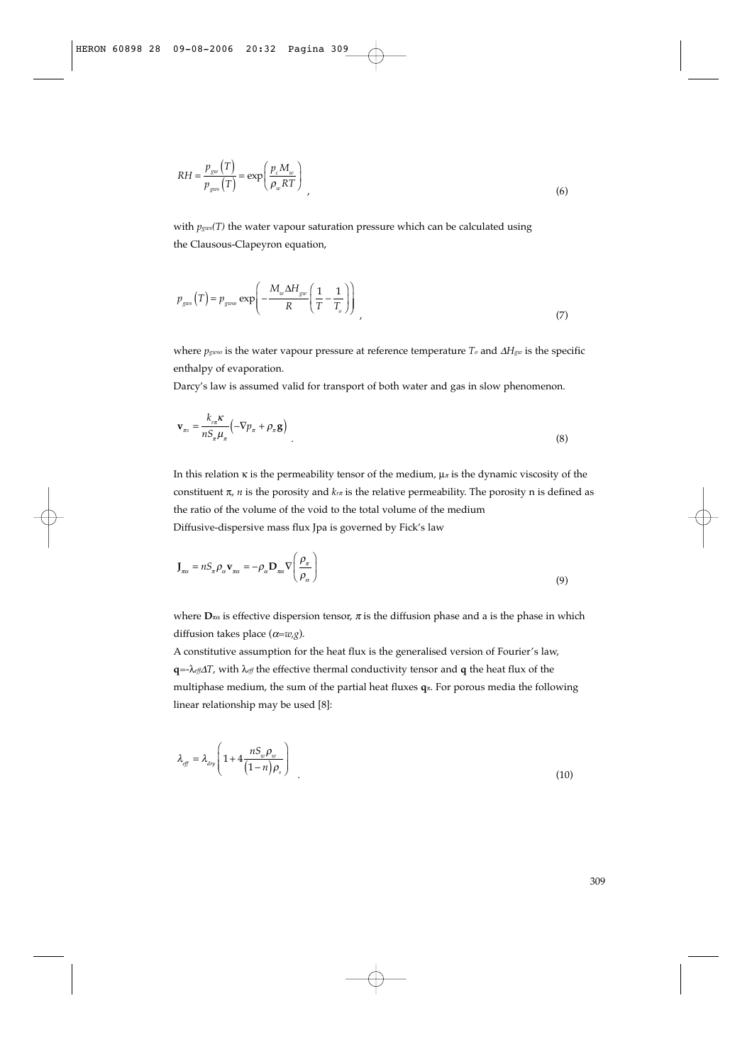$$
RH = \frac{p_{gw}(T)}{p_{gws}(T)} = \exp\left(\frac{p_c M_w}{\rho_w RT}\right)
$$
\n(6)

with  $p_{\text{gws}}(T)$  the water vapour saturation pressure which can be calculated using the Clausous-Clapeyron equation,

$$
p_{\text{gas}}(T) = p_{\text{gas}} \exp\left(-\frac{M_{w} \Delta H_{\text{gas}}}{R} \left(\frac{1}{T} - \frac{1}{T_o}\right)\right)
$$
(7)

where *pgwso* is the water vapour pressure at reference temperature *To* and Δ*Hgw* is the specific enthalpy of evaporation.

Darcy's law is assumed valid for transport of both water and gas in slow phenomenon.

$$
\mathbf{v}_{\pi s} = \frac{k_{r\pi} \kappa}{n S_{\pi} \mu_{\pi}} \left( -\nabla p_{\pi} + \rho_{\pi} \mathbf{g} \right)
$$
(8)

In this relation  $\kappa$  is the permeability tensor of the medium,  $\mu$ <sup>π</sup> is the dynamic viscosity of the constituent  $\pi$ , *n* is the porosity and  $k_{\tau\pi}$  is the relative permeability. The porosity n is defined as the ratio of the volume of the void to the total volume of the medium Diffusive-dispersive mass flux Jpa is governed by Fick's law

$$
\mathbf{J}_{\pi\alpha} = nS_{\pi}\rho_{\alpha}\mathbf{v}_{\pi\alpha} = -\rho_{\alpha}\mathbf{D}_{\pi\alpha}\nabla\left(\frac{\rho_{\pi}}{\rho_{\alpha}}\right)
$$
\n(9)

where  $\mathbf{D}_{\pi\alpha}$  is effective dispersion tensor,  $\pi$  is the diffusion phase and a is the phase in which diffusion takes place (α*=w,g*).

A constitutive assumption for the heat flux is the generalised version of Fourier's law, **q**=-λ*eff*<sup>Δ</sup>*T*, with λ*eff* the effective thermal conductivity tensor and **q** the heat flux of the multiphase medium, the sum of the partial heat fluxes **q**π. For porous media the following linear relationship may be used [8]:

$$
\lambda_{\text{eff}} = \lambda_{\text{dry}} \left( 1 + 4 \frac{n S_w \rho_w}{\left( 1 - n \right) \rho_s} \right) \tag{10}
$$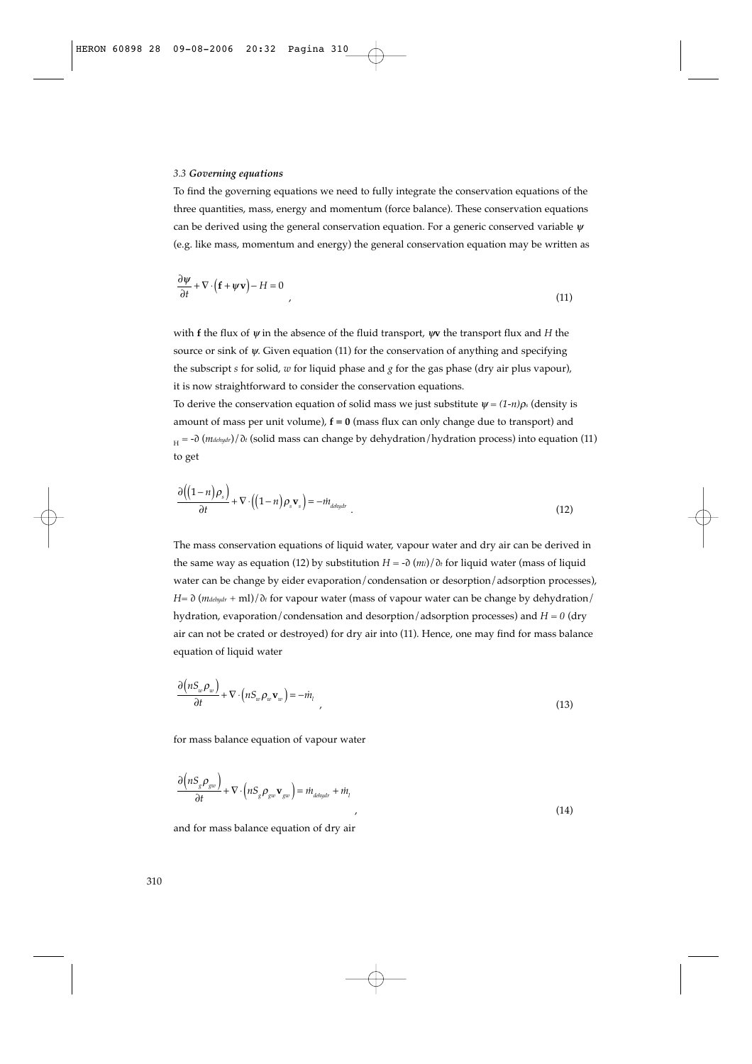#### *3.3 Governing equations*

To find the governing equations we need to fully integrate the conservation equations of the three quantities, mass, energy and momentum (force balance). These conservation equations can be derived using the general conservation equation. For a generic conserved variable  $\psi$ (e.g. like mass, momentum and energy) the general conservation equation may be written as

$$
\frac{\partial \psi}{\partial t} + \nabla \cdot \left( \mathbf{f} + \psi \mathbf{v} \right) - H = 0 \tag{11}
$$

with **f** the flux of ψ in the absence of the fluid transport, ψ**v** the transport flux and *H* the source or sink of  $\psi$ . Given equation (11) for the conservation of anything and specifying the subscript *s* for solid, *w* for liquid phase and *g* for the gas phase (dry air plus vapour), it is now straightforward to consider the conservation equations.

To derive the conservation equation of solid mass we just substitute  $\psi = (1-n)\rho_s$  (density is amount of mass per unit volume), **f = 0** (mass flux can only change due to transport) and H = -∂ (*mdehydr*)/∂*t* (solid mass can change by dehydration/hydration process) into equation (11) to get

$$
\frac{\partial \left((1-n)\rho_s\right)}{\partial t} + \nabla \cdot \left((1-n)\rho_s \mathbf{v}_s\right) = -\dot{m}_{\text{delaydr}} \tag{12}
$$

The mass conservation equations of liquid water, vapour water and dry air can be derived in the same way as equation (12) by substitution *H* = -∂ (*ml*)/∂*<sup>t</sup>* for liquid water (mass of liquid water can be change by eider evaporation/condensation or desorption/adsorption processes), *H*=  $\partial$  (*mdehydr* + ml)/ $\partial$ *t* for vapour water (mass of vapour water can be change by dehydration/ hydration, evaporation/condensation and desorption/adsorption processes) and *H* = *0* (dry air can not be crated or destroyed) for dry air into (11). Hence, one may find for mass balance equation of liquid water

$$
\frac{\partial \left(nS_w \rho_w\right)}{\partial t} + \nabla \cdot \left(nS_w \rho_w \mathbf{v}_w\right) = -i\dot{n}_1 \tag{13}
$$

for mass balance equation of vapour water

$$
\frac{\partial \left(nS_{g}\rho_{gw}\right)}{\partial t} + \nabla \cdot \left(nS_{g}\rho_{gw}\mathbf{v}_{gw}\right) = i\dot{n}_{ddydr} + i\dot{n}_{l}
$$
\n(14)

and for mass balance equation of dry air

 $\lambda$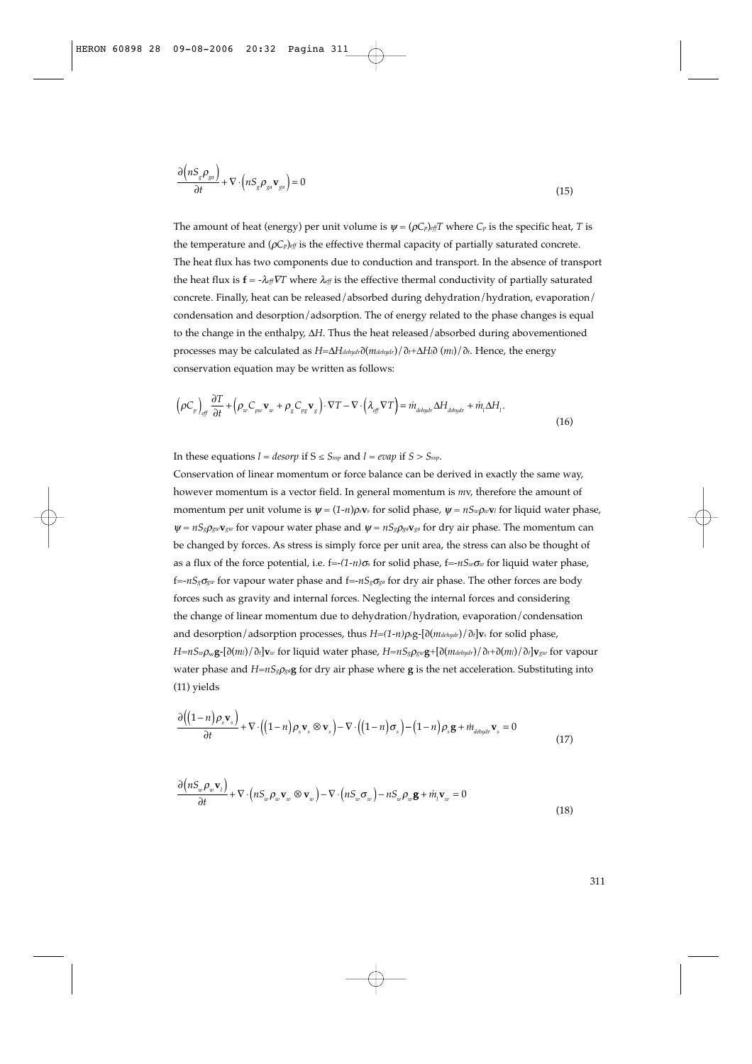$$
\frac{\partial \left(nS_{g}\rho_{ga}\right)}{\partial t} + \nabla \cdot \left(nS_{g}\rho_{ga}\mathbf{v}_{ga}\right) = 0\tag{15}
$$

The amount of heat (energy) per unit volume is  $\psi = (\rho C_p)_{eff}T$  where  $C_p$  is the specific heat, *T* is the temperature and  $(\rho C_p)_{eff}$  is the effective thermal capacity of partially saturated concrete. The heat flux has two components due to conduction and transport. In the absence of transport the heat flux is  $\mathbf{f} = -\lambda_{eff} \nabla T$  where  $\lambda_{eff}$  is the effective thermal conductivity of partially saturated concrete. Finally, heat can be released/absorbed during dehydration/hydration, evaporation/ condensation and desorption/adsorption. The of energy related to the phase changes is equal to the change in the enthalpy, Δ*H*. Thus the heat released/absorbed during abovementioned processes may be calculated as *H*=Δ*Hdehydr*∂(*mdehydr*)/∂*t*+Δ*Hl*∂ (*ml*)/∂*t*. Hence, the energy conservation equation may be written as follows:

$$
\left(\rho C_p\right)_{\text{eff}} \frac{\partial T}{\partial t} + \left(\rho_w C_{p w} \mathbf{v}_w + \rho_g C_{p g} \mathbf{v}_g\right) \cdot \nabla T - \nabla \cdot \left(\lambda_{\text{eff}} \nabla T\right) = i\hbar_{\text{delydr}} \Delta H_{\text{delydr}} + i\hbar_l \Delta H_l. \tag{16}
$$

In these equations  $l = desorp$  if  $S \leq S_{ssp}$  and  $l = evap$  if  $S > S_{ssp}$ .

Conservation of linear momentum or force balance can be derived in exactly the same way, however momentum is a vector field. In general momentum is *m*v, therefore the amount of momentum per unit volume is  $\psi = (1-n)\rho_s v_s$  for solid phase,  $\psi = nS_w \rho_w v_l$  for liquid water phase,  $\Psi = nS_{\alpha}\rho_{\alpha} \Psi_{\alpha}$  for vapour water phase and  $\Psi = nS_{\alpha}\rho_{\alpha} \Psi_{\alpha}$  for dry air phase. The momentum can be changed by forces. As stress is simply force per unit area, the stress can also be thought of as a flux of the force potential, i.e. f=-*(1-n)*<sup>σ</sup>*<sup>s</sup>* for solid phase, f=-*nSw*<sup>σ</sup>*<sup>w</sup>* for liquid water phase, f=-*nSg*<sup>σ</sup>*gw* for vapour water phase and f=-*nSg*<sup>σ</sup>*ga* for dry air phase. The other forces are body forces such as gravity and internal forces. Neglecting the internal forces and considering the change of linear momentum due to dehydration/hydration, evaporation/condensation and desorption/adsorption processes, thus *H*=*(1-n)*ρ*s*g-[∂(*mdehydr*)/∂*t*]**v***<sup>s</sup>* for solid phase, *H*=*nSw*ρw**g**-[∂(*ml*)/∂*t*]**v***<sup>w</sup>* for liquid water phase, *H*=*nSg*ρ*gw***g**+[∂(*mdehydr*)/∂*t*+∂(*ml*)/∂*t*]**v***gw* for vapour water phase and  $H=nS_g\rho_{gq}$ **g** for dry air phase where **g** is the net acceleration. Substituting into (11) yields

$$
\frac{\partial \left( (1-n)\rho_s \mathbf{v}_s \right)}{\partial t} + \nabla \cdot \left( (1-n)\rho_s \mathbf{v}_s \otimes \mathbf{v}_s \right) - \nabla \cdot \left( (1-n)\sigma_s \right) - (1-n)\rho_s \mathbf{g} + i\hbar_{\text{dolydr}} \mathbf{v}_s = 0
$$
\n(17)

$$
\frac{\partial \left(nS_w \rho_w \mathbf{v}_l\right)}{\partial t} + \nabla \cdot \left(nS_w \rho_w \mathbf{v}_w \otimes \mathbf{v}_w\right) - \nabla \cdot \left(nS_w \sigma_w\right) - nS_w \rho_w \mathbf{g} + \dot{m}_l \mathbf{v}_w = 0\tag{18}
$$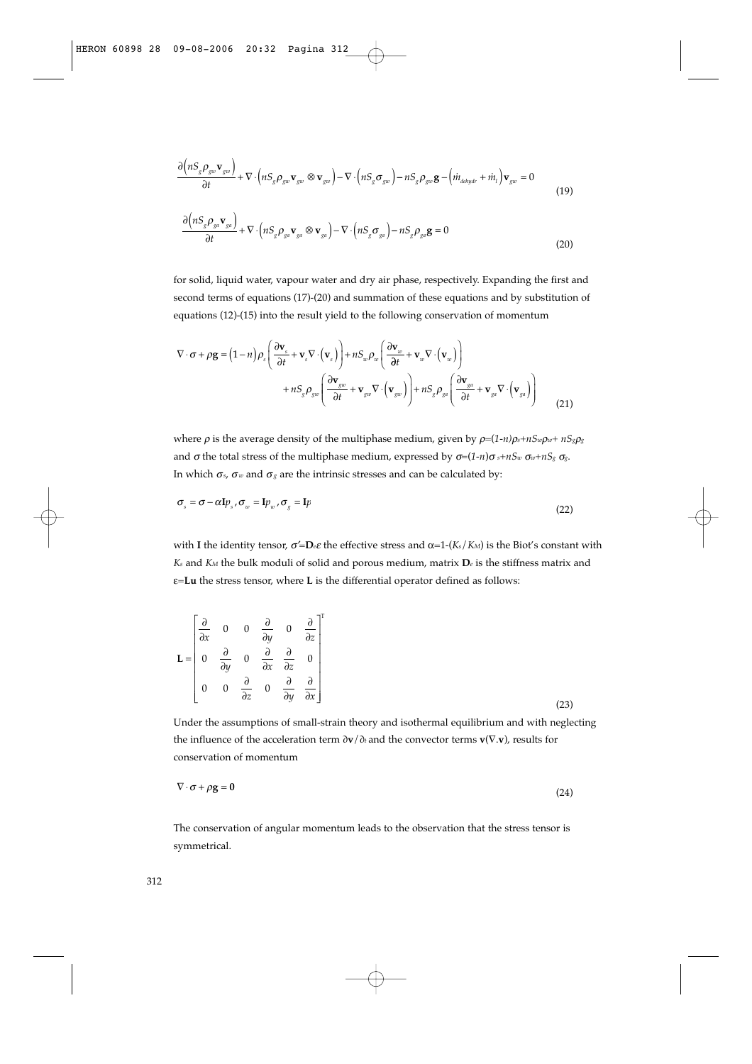$$
\frac{\partial \left(nS_{g}\rho_{gw}\mathbf{v}_{gw}\right)}{\partial t} + \nabla \cdot \left(nS_{g}\rho_{gw}\mathbf{v}_{gw} \otimes \mathbf{v}_{gw}\right) - \nabla \cdot \left(nS_{g}\sigma_{gw}\right) - nS_{g}\rho_{gw}\mathbf{g} - \left(\dot{m}_{ddydr} + \dot{m}_{l}\right)\mathbf{v}_{gw} = 0
$$
\n(19)

$$
\frac{\partial \left(nS_{g}\rho_{g} \mathbf{v}_{g} \mathbf{v}_{g} \right)}{\partial t} + \nabla \cdot \left(nS_{g}\rho_{g} \mathbf{v}_{g} \otimes \mathbf{v}_{g} \right) - \nabla \cdot \left(nS_{g}\sigma_{g} \right) - nS_{g}\rho_{g} \mathbf{g} = 0
$$
\n(20)

for solid, liquid water, vapour water and dry air phase, respectively. Expanding the first and second terms of equations (17)-(20) and summation of these equations and by substitution of equations (12)-(15) into the result yield to the following conservation of momentum

$$
\nabla \cdot \boldsymbol{\sigma} + \rho \mathbf{g} = (1 - n) \rho_s \left( \frac{\partial \mathbf{v}_s}{\partial t} + \mathbf{v}_s \nabla \cdot (\mathbf{v}_s) \right) + nS_w \rho_w \left( \frac{\partial \mathbf{v}_w}{\partial t} + \mathbf{v}_w \nabla \cdot (\mathbf{v}_w) \right) + nS_g \rho_{gw} \left( \frac{\partial \mathbf{v}_s}{\partial t} + \mathbf{v}_{gw} \nabla \cdot (\mathbf{v}_{gw}) \right) + nS_g \rho_{gw} \left( \frac{\partial \mathbf{v}_s}{\partial t} + \mathbf{v}_{ga} \nabla \cdot (\mathbf{v}_{ga}) \right)
$$
(21)

where  $\rho$  is the average density of the multiphase medium, given by  $\rho = (1-n)\rho_s + nS_w\rho_w + nS_g\rho_g$ and  $\sigma$  the total stress of the multiphase medium, expressed by  $\sigma = (1-n)\sigma_s + nS_w \sigma_w + nS_g \sigma_g$ . In which  $\sigma_s$ ,  $\sigma_w$  and  $\sigma_g$  are the intrinsic stresses and can be calculated by:

$$
\sigma_s = \sigma - \alpha I p_s, \sigma_w = I p_w, \sigma_s = I p \tag{22}
$$

with **I** the identity tensor,  $\sigma' = D_e \varepsilon$  the effective stress and  $\alpha = 1 - (K_s/K_M)$  is the Biot's constant with *Ks* and *KM* the bulk moduli of solid and porous medium, matrix **D***<sup>e</sup>* is the stiffness matrix and ε=**Lu** the stress tensor, where **L** is the differential operator defined as follows:

$$
\mathbf{L} = \begin{bmatrix} \frac{\partial}{\partial x} & 0 & 0 & \frac{\partial}{\partial y} & 0 & \frac{\partial}{\partial z} \\ 0 & \frac{\partial}{\partial y} & 0 & \frac{\partial}{\partial x} & \frac{\partial}{\partial z} & 0 \\ 0 & 0 & \frac{\partial}{\partial z} & 0 & \frac{\partial}{\partial y} & \frac{\partial}{\partial x} \end{bmatrix} (23)
$$

Under the assumptions of small-strain theory and isothermal equilibrium and with neglecting the influence of the acceleration term ∂**v**/∂*t* and the convector terms **v**(∇.**v**), results for conservation of momentum

$$
\nabla \cdot \sigma + \rho \mathbf{g} = \mathbf{0} \tag{24}
$$

The conservation of angular momentum leads to the observation that the stress tensor is symmetrical.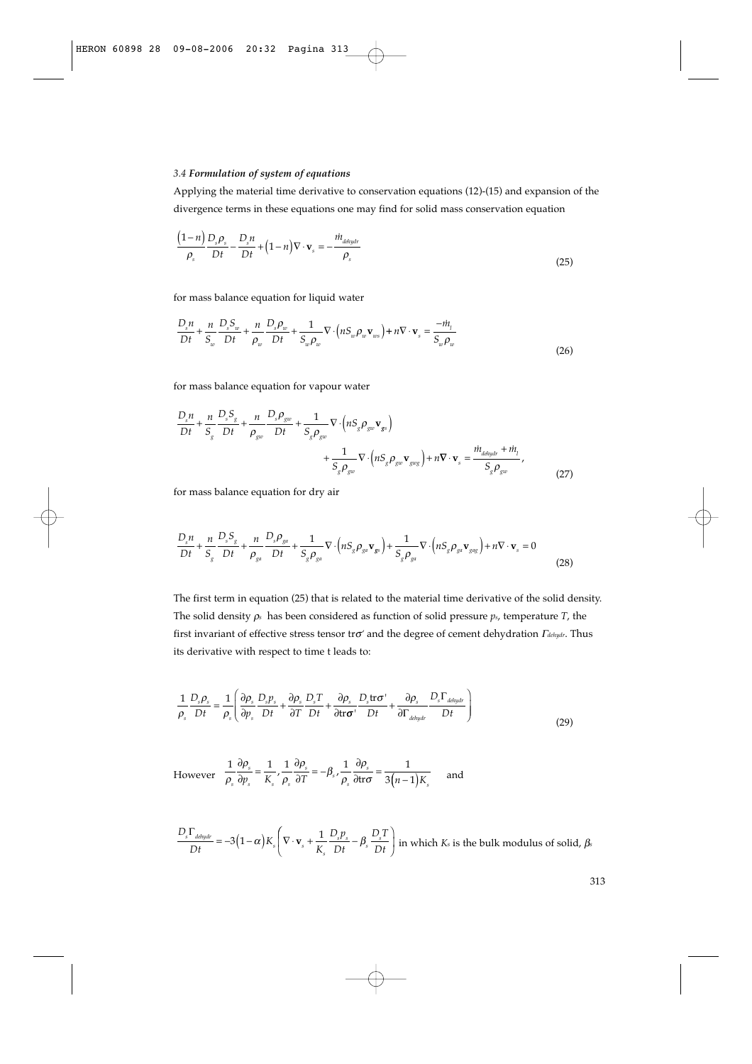#### *3.4 Formulation of system of equations*

Applying the material time derivative to conservation equations (12)-(15) and expansion of the divergence terms in these equations one may find for solid mass conservation equation

$$
\frac{\left(1-n\right)}{\rho_s} \frac{D_s \rho_s}{Dt} - \frac{D_s n}{Dt} + \left(1-n\right) \nabla \cdot \mathbf{v}_s = -\frac{\dot{m}_{dolydr}}{\rho_s}
$$
\n(25)

for mass balance equation for liquid water

$$
\frac{D_s n}{Dt} + \frac{n}{S_w} \frac{D_s S_w}{Dt} + \frac{n}{\rho_w} \frac{D_s \rho_w}{Dt} + \frac{1}{S_w \rho_w} \nabla \cdot \left( n S_w \rho_w \mathbf{v}_{ws} \right) + n \nabla \cdot \mathbf{v}_s = \frac{-\dot{m}_t}{S_w \rho_w}
$$
\n(26)

for mass balance equation for vapour water

$$
\frac{D_s n}{Dt} + \frac{n}{S_s} \frac{D_s S_g}{Dt} + \frac{n}{\rho_{gw}} \frac{D_s \rho_{gw}}{Dt} + \frac{1}{S_g \rho_{gw}} \nabla \cdot \left( n S_g \rho_{gw} \mathbf{v}_{gs} \right) + \frac{1}{S_g \rho_{gw}} \nabla \cdot \left( n S_g \rho_{gw} \mathbf{v}_{gag} \right) + n \nabla \cdot \mathbf{v}_s = \frac{i \dot{n}_{ddydr} + i \dot{n}_t}{S_g \rho_{gw}} \tag{27}
$$

for mass balance equation for dry air

$$
\frac{D_s n}{Dt} + \frac{n}{S_s} \frac{D_s S_g}{Dt} + \frac{n}{\rho_{g^a}} \frac{D_s \rho_{g^a}}{Dt} + \frac{1}{S_s \rho_{g^a}} \nabla \cdot \left(nS_g \rho_{g^a} \mathbf{v}_{g^s}\right) + \frac{1}{S_s \rho_{g^a}} \nabla \cdot \left(nS_g \rho_{g^a} \mathbf{v}_{g^a} \right) + n \nabla \cdot \mathbf{v}_s = 0
$$
\n(28)

The first term in equation (25) that is related to the material time derivative of the solid density. The solid density ρ*<sup>s</sup>* has been considered as function of solid pressure *ps*, temperature *T*, the first invariant of effective stress tensor trσ*'* and the degree of cement dehydration <sup>Γ</sup>*dehydr*. Thus its derivative with respect to time t leads to:

$$
\frac{1}{\rho_s} \frac{D_s \rho_s}{Dt} = \frac{1}{\rho_s} \left( \frac{\partial \rho_s}{\partial p_s} \frac{D_s p_s}{Dt} + \frac{\partial \rho_s}{\partial T} \frac{D_s T}{Dt} + \frac{\partial \rho_s}{\partial t \tau} \frac{D_s t \tau \sigma^{\prime}}{Dt} + \frac{\partial \rho_s}{\partial \Gamma_{ddydr}} \frac{D_s \Gamma_{ddydr}}{Dt} \right)
$$
(29)

However  $\frac{1}{\rho} \frac{\partial n}{\partial n} - \frac{1}{K'} \frac{\partial}{\partial n} \frac{\partial n}{\partial n} - \frac{1}{\rho} \frac{\partial n}{\partial n} - \frac{1}{2(n-1)K}$  and  $1 \theta \rho_{s} = 1 \cdot 1 \theta \rho_{s} = 1 \cdot 1 \theta \rho_{s} = 1$  $\rho_{s}$  dp<sub>s</sub>  $K_{s}$   $\rho_{s}$  dT  $\qquad$  s  $\rho_{s}$  dtr $\sigma$  3(n-1 ρ  $rac{1}{\rho_s} \frac{\partial \rho_s}{\partial T} = -\beta_s \frac{1}{\rho}$ ρ  $\sigma_s$  *dp*<sub>s</sub>  $K_s$  *p*<sub>s</sub> *d1 p*<sub>s</sub> *dtro s*  $s$  s<sub>s</sub>  $r_s$  $\frac{s}{\rho} = -\beta_s$ ,  $\frac{1}{\rho_s}$  $\frac{\rho_s}{p_s} = \frac{1}{K_s} \frac{1}{\rho_s} \frac{\partial \rho_s}{\partial T} = -\beta_s \frac{1}{\rho_s} \frac{\partial \rho_s}{\partial t \sigma} = \frac{1}{3(n_s)}$  $\frac{\partial \rho_s}{\partial p_s} = \frac{1}{K_s}, \frac{1}{\rho_s} \frac{\partial \rho_s}{\partial T} = -\beta_s, \frac{1}{\rho_s} \frac{\partial \rho_s}{\partial tr \sigma} = \frac{1}{3(n-1)K_s}$ 

$$
\frac{D_s \Gamma_{\text{delay}}}{Dt} = -3(1-\alpha)K_s \left(\nabla \cdot \mathbf{v}_s + \frac{1}{K_s} \frac{D_s p_s}{Dt} - \beta_s \frac{D_s T}{Dt}\right) \text{ in which } K_s \text{ is the bulk modulus of solid, } \beta_s
$$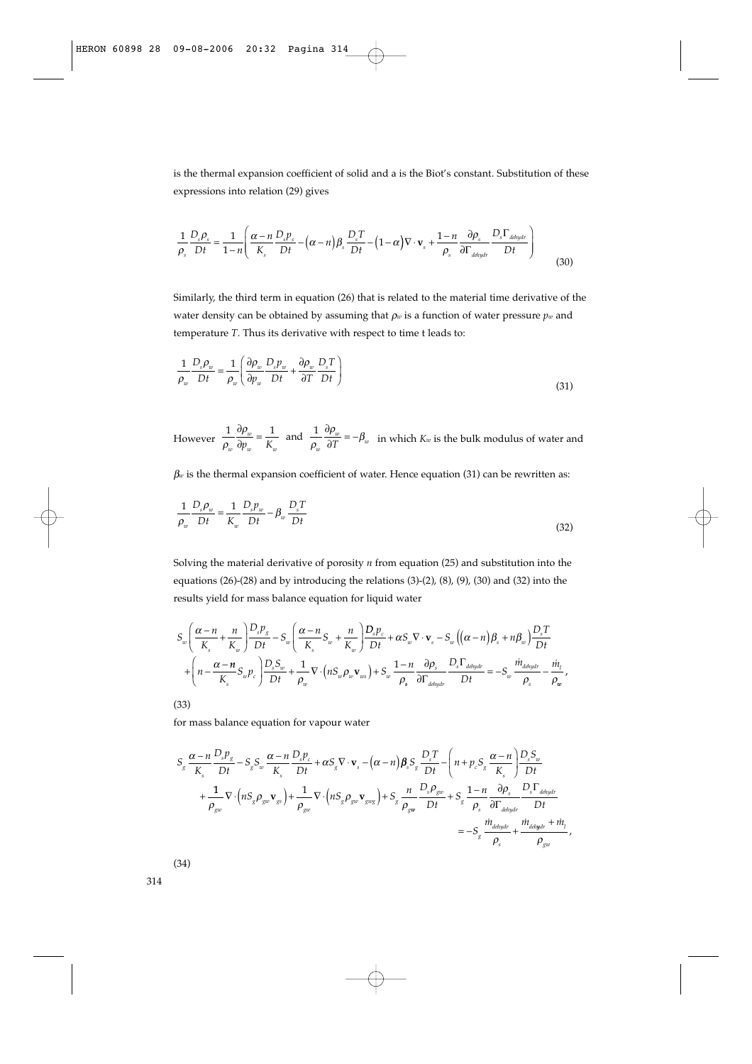is the thermal expansion coefficient of solid and a is the Biot's constant. Substitution of these expressions into relation (29) gives

$$
\frac{1}{\rho_s} \frac{D_s \rho_s}{Dt} = \frac{1}{1-n} \left( \frac{\alpha - n}{K_s} \frac{D_s p_s}{Dt} - (\alpha - n) \beta_s \frac{D_s T}{Dt} - (1 - \alpha) \nabla \cdot \mathbf{v}_s + \frac{1-n}{\rho_s} \frac{\partial \rho_s}{\partial \Gamma_{\text{delaydr}}} \frac{D_s \Gamma_{\text{delaydr}}}{Dt} \right)
$$
(30)

Similarly, the third term in equation (26) that is related to the material time derivative of the water density can be obtained by assuming that ρ*<sup>w</sup>* is a function of water pressure *pw* and temperature *T*. Thus its derivative with respect to time t leads to:

$$
\frac{1}{\rho_w} \frac{D_s \rho_w}{Dt} = \frac{1}{\rho_w} \left( \frac{\partial \rho_w}{\partial p_w} \frac{D_s p_w}{Dt} + \frac{\partial \rho_w}{\partial T} \frac{D_s T}{Dt} \right)
$$
(31)

However  $\frac{1}{\rho} \frac{\partial \rho_w}{\partial n} = \frac{1}{K}$  and  $\frac{1}{\rho} \frac{\partial \rho_w}{\partial T} = -\beta_w$  in which  $K_w$  is the bulk modulus of water and ρ ρ  $rac{1}{\rho_w} \frac{\partial \rho_w}{\partial T} = -\beta$ *w w*  $w$   $r_u$  $\frac{\partial P_w}{\partial p_w} = \frac{1}{K_w}$  and  $\frac{1}{\rho_w} \frac{\partial P_w}{\partial T} = -\beta_w$  $rac{\partial \rho_w}{\partial p_w} = \frac{1}{K_w}$  and  $\frac{1}{\rho_w} \frac{\partial \rho_w}{\partial T} = -$ 

 $\beta$ *w* is the thermal expansion coefficient of water. Hence equation (31) can be rewritten as:

$$
\frac{1}{\rho_w} \frac{D_s \rho_w}{Dt} = \frac{1}{K_w} \frac{D_s p_w}{Dt} - \beta_w \frac{D_s T}{Dt}
$$
\n(32)

Solving the material derivative of porosity *n* from equation (25) and substitution into the equations (26)-(28) and by introducing the relations (3)-(2), (8), (9), (30) and (32) into the results yield for mass balance equation for liquid water

$$
S_w \left( \frac{\alpha - n}{K_s} + \frac{n}{K_w} \right) \frac{D_s p_g}{Dt} - S_w \left( \frac{\alpha - n}{K_s} S_w + \frac{n}{K_w} \right) \frac{D_s p_c}{Dt} + \alpha S_w \nabla \cdot \mathbf{v}_s - S_w \left( (\alpha - n) \beta_s + n \beta_w \right) \frac{D_s T}{Dt} + \left( n - \frac{\alpha - n}{K_s} S_w p_c \right) \frac{D_s S_w}{Dt} + \frac{1}{\rho_w} \nabla \cdot \left( n S_w \rho_w \mathbf{v}_{ws} \right) + S_w \frac{1 - n}{\rho_s} \frac{\partial \rho_s}{\partial \Gamma_{delaydr}} \frac{D_s \Gamma_{daydr}}{Dt} = -S_w \frac{\dot{m}_{daydr}}{\rho_s} - \frac{\dot{m}_t}{\rho_w},
$$

(33)

for mass balance equation for vapour water

$$
S_{g} \frac{\alpha - n}{K_{s}} \frac{D_{s} p_{g}}{Dt} - S_{g} S_{w} \frac{\alpha - n}{K_{s}} \frac{D_{s} p_{c}}{Dt} + \alpha S_{g} \nabla \cdot \mathbf{v}_{s} - (\alpha - n) \beta_{s} S_{g} \frac{D_{s} T}{Dt} - \left( n + p_{c} S_{g} \frac{\alpha - n}{K_{s}} \right) \frac{D_{s} S_{w}}{Dt} + \frac{1}{\rho_{gw}} \nabla \cdot (n S_{g} \rho_{gw} \mathbf{v}_{gs}) + \frac{1}{\rho_{gw}} \nabla \cdot (n S_{g} \rho_{gw} \mathbf{v}_{gxy}) + S_{g} \frac{n}{\rho_{gw}} \frac{D_{s} \rho_{gw}}{Dt} + S_{g} \frac{1 - n}{\rho_{s}} \frac{\partial \rho_{s}}{\partial \Gamma_{adapt}} \frac{D_{s} \Gamma_{adapt}}{Dt} + \frac{nI_{ddydr} + nI_{r}}{Dt} + \frac{nI_{ddydr} + nI_{r}}{D_{gw}}.
$$

(34)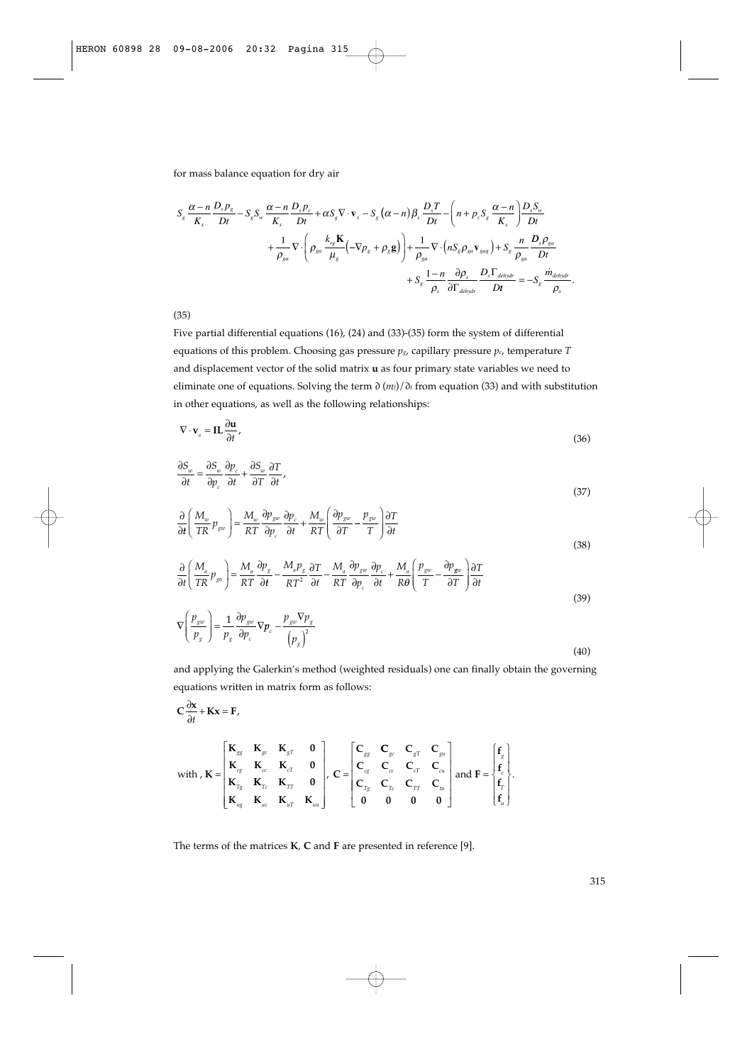for mass balance equation for dry air

$$
S_{g} \frac{\alpha - n}{K_{s}} \frac{D_{s} p_{g}}{Dt} - S_{g} S_{w} \frac{\alpha - n}{K_{s}} \frac{D_{s} p_{c}}{Dt} + \alpha S_{g} \nabla \cdot \mathbf{v}_{s} - S_{g} (\alpha - n) \beta_{s} \frac{D_{s} T}{Dt} - \left( n + p_{c} S_{g} \frac{\alpha - n}{K_{s}} \right) \frac{D_{s} S_{w}}{Dt} + \frac{1}{\rho_{ga}} \nabla \cdot \left( \rho_{ga} \frac{k_{rs} \mathbf{K}}{\mu_{g}} \left( -\nabla p_{g} + \rho_{g} \mathbf{g} \right) \right) + \frac{1}{\rho_{ga}} \nabla \cdot \left( n S_{g} \rho_{ga} \mathbf{v}_{gag} \right) + S_{g} \frac{n}{\rho_{ga}} \frac{D_{s} \rho_{ga}}{Dt} + S_{g} \frac{1 - n}{\rho_{g}} \frac{\partial \rho_{s}}{\partial \Gamma_{dehydro}} \frac{D_{s} \Gamma_{dehydro}}{Dt} = -S_{g} \frac{m_{dehydro}}{\rho_{s}}.
$$

(35)

Five partial differential equations (16), (24) and (33)-(35) form the system of differential equations of this problem. Choosing gas pressure *pg*, capillary pressure *pc*, temperature *T* and displacement vector of the solid matrix **u** as four primary state variables we need to eliminate one of equations. Solving the term ∂ (*ml*)/∂*<sup>t</sup>* from equation (33) and with substitution in other equations, as well as the following relationships:

$$
\nabla \cdot \mathbf{v}_s = \mathbf{IL} \frac{\partial \mathbf{u}}{\partial t},\tag{36}
$$

$$
\frac{\partial S_w}{\partial t} = \frac{\partial S_w}{\partial p_c} \frac{\partial p_c}{\partial t} + \frac{\partial S_w}{\partial T} \frac{\partial T}{\partial t},\tag{37}
$$

$$
\frac{\partial}{\partial t} \left( \frac{M_w}{TR} p_{gw} \right) = \frac{M_w}{RT} \frac{\partial p_{gw}}{\partial p_c} \frac{\partial p_c}{\partial t} + \frac{M_w}{RT} \left( \frac{\partial p_{gw}}{\partial T} - \frac{p_{gw}}{T} \right) \frac{\partial T}{\partial t}
$$
\n(38)

$$
\frac{\partial}{\partial t} \left( \frac{M_a}{TR} p_{ga} \right) = \frac{M_a}{RT} \frac{\partial p_g}{\partial t} - \frac{M_a p_g}{RT^2} \frac{\partial T}{\partial t} - \frac{M_a}{RT} \frac{\partial p_{gw}}{\partial p_c} \frac{\partial p_c}{\partial t} + \frac{M_a}{R\theta} \left( \frac{p_{gw}}{T} - \frac{\partial p_{gw}}{\partial T} \right) \frac{\partial T}{\partial t}
$$
\n(39)

$$
\nabla \left( \frac{p_{gw}}{p_g} \right) = \frac{1}{p_g} \frac{\partial p_{gw}}{\partial p_c} \nabla p_c - \frac{p_{gw} \nabla p_g}{\left( p_g \right)^2}
$$
\n(40)

and applying the Galerkin's method (weighted residuals) one can finally obtain the governing equations written in matrix form as follows:

$$
\mathbf{C} \frac{\partial \mathbf{x}}{\partial t} + \mathbf{K} \mathbf{x} = \mathbf{F},
$$
\n
$$
\text{with } \mathbf{K} = \begin{bmatrix} \mathbf{K}_{gs} & \mathbf{K}_{gs} & \mathbf{K}_{gr} & \mathbf{0} \\ \mathbf{K}_{gs} & \mathbf{K}_{cc} & \mathbf{K}_{cr} & \mathbf{0} \\ \mathbf{K}_{rg} & \mathbf{K}_{rc} & \mathbf{K}_{rr} & \mathbf{0} \\ \mathbf{K}_{ng} & \mathbf{K}_{nc} & \mathbf{K}_{rr} & \mathbf{0} \\ \mathbf{K}_{ug} & \mathbf{K}_{uc} & \mathbf{K}_{ur} & \mathbf{K}_{uu} \end{bmatrix}, \mathbf{C} = \begin{bmatrix} \mathbf{C}_{gs} & \mathbf{C}_{sc} & \mathbf{C}_{gr} & \mathbf{C}_{gu} \\ \mathbf{C}_{cg} & \mathbf{C}_{cc} & \mathbf{C}_{cr} & \mathbf{C}_{cu} \\ \mathbf{C}_{rg} & \mathbf{C}_{rc} & \mathbf{C}_{rr} & \mathbf{C}_{u} \\ \mathbf{C}_{rg} & \mathbf{C}_{rc} & \mathbf{C}_{rr} & \mathbf{C}_{u} \\ \mathbf{0} & \mathbf{0} & \mathbf{0} & \mathbf{0} \end{bmatrix}, \mathbf{H} \mathbf{H} \mathbf{H} \mathbf{H}
$$

The terms of the matrices **K**, **C** and **F** are presented in reference [9].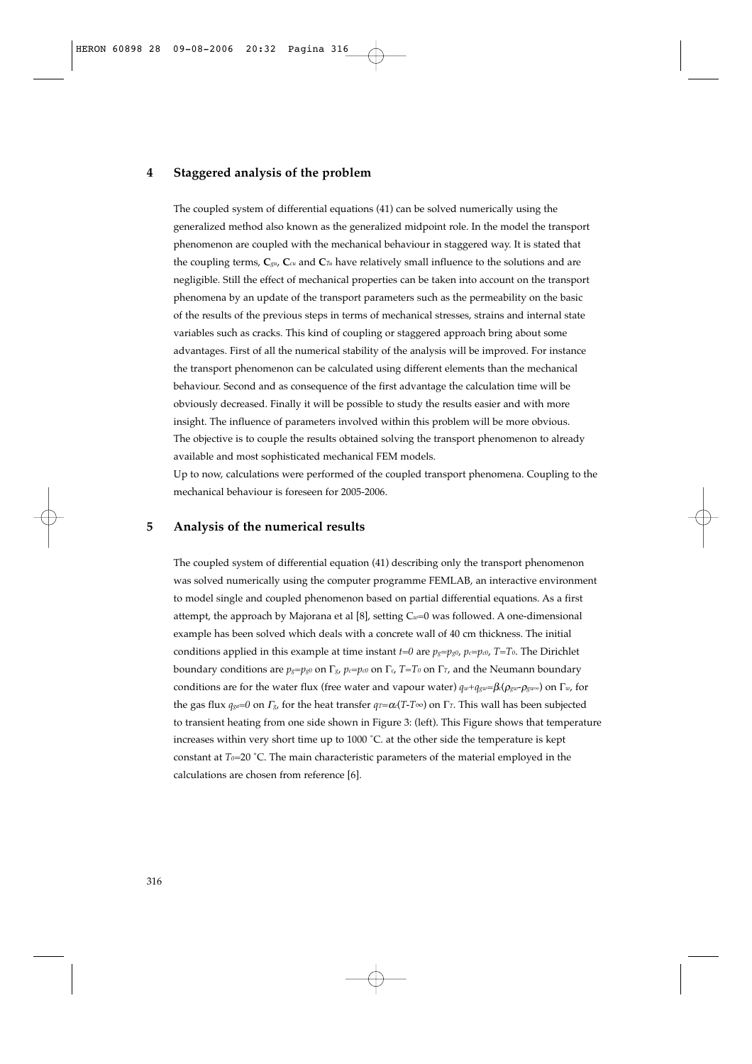### **4 Staggered analysis of the problem**

The coupled system of differential equations (41) can be solved numerically using the generalized method also known as the generalized midpoint role. In the model the transport phenomenon are coupled with the mechanical behaviour in staggered way. It is stated that the coupling terms, **C***gu*, **C***cu* and **C***Tu* have relatively small influence to the solutions and are negligible. Still the effect of mechanical properties can be taken into account on the transport phenomena by an update of the transport parameters such as the permeability on the basic of the results of the previous steps in terms of mechanical stresses, strains and internal state variables such as cracks. This kind of coupling or staggered approach bring about some advantages. First of all the numerical stability of the analysis will be improved. For instance the transport phenomenon can be calculated using different elements than the mechanical behaviour. Second and as consequence of the first advantage the calculation time will be obviously decreased. Finally it will be possible to study the results easier and with more insight. The influence of parameters involved within this problem will be more obvious. The objective is to couple the results obtained solving the transport phenomenon to already available and most sophisticated mechanical FEM models.

Up to now, calculations were performed of the coupled transport phenomena. Coupling to the mechanical behaviour is foreseen for 2005-2006.

## **5 Analysis of the numerical results**

The coupled system of differential equation (41) describing only the transport phenomenon was solved numerically using the computer programme FEMLAB, an interactive environment to model single and coupled phenomenon based on partial differential equations. As a first attempt, the approach by Majorana et al [8], setting C*w*=0 was followed. A one-dimensional example has been solved which deals with a concrete wall of 40 cm thickness. The initial conditions applied in this example at time instant  $t=0$  are  $p_g = p_g o$ ,  $p_c = p_c o$ ,  $T=T_0$ . The Dirichlet boundary conditions are  $p_g = p_g0$  on  $\Gamma_g$ ,  $p_g = p_g0$  on  $\Gamma_g$ ,  $T = T_0$  on  $\Gamma_f$ , and the Neumann boundary conditions are for the water flux (free water and vapour water) *qw*+*qgw*=β*c*(ρ*gw*-ρ*gw∞*) on Γ*w*, for the gas flux *qga*=*0* on <sup>Γ</sup>*g*, for the heat transfer *qT*=<sup>α</sup>*c*(*T-T*∞) on Γ*T*. This wall has been subjected to transient heating from one side shown in Figure 3: (left). This Figure shows that temperature increases within very short time up to 1000 ˚C. at the other side the temperature is kept constant at *T<sub>0</sub>*=20 °C. The main characteristic parameters of the material employed in the calculations are chosen from reference [6].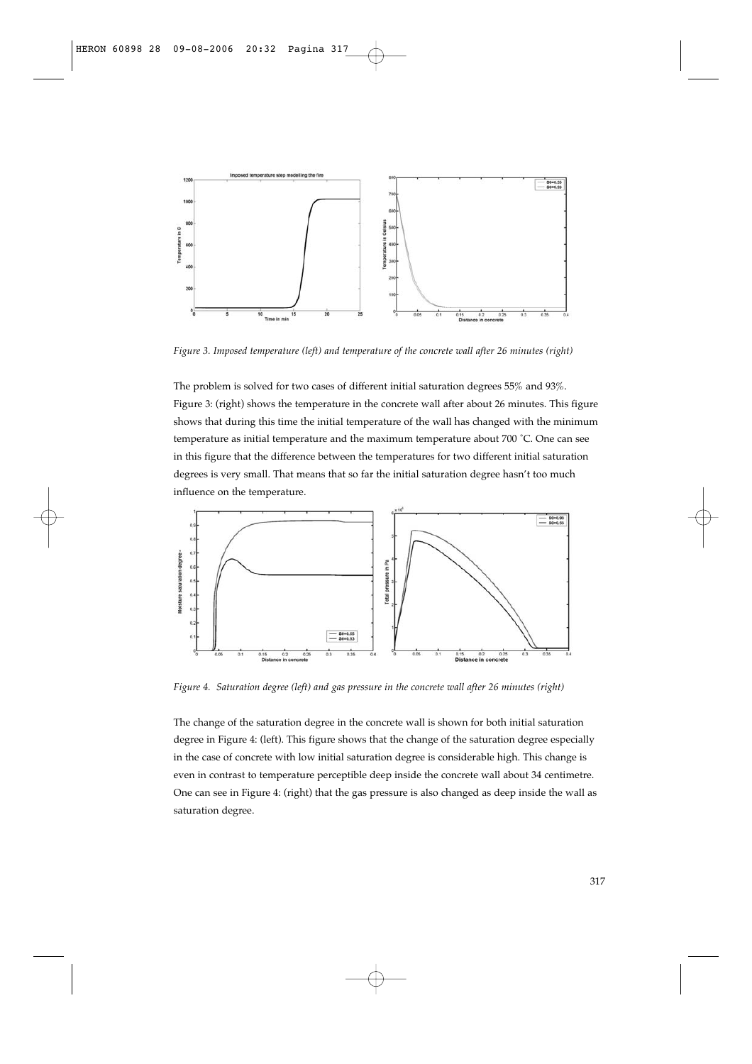

*Figure 3. Imposed temperature (left) and temperature of the concrete wall after 26 minutes (right)*

The problem is solved for two cases of different initial saturation degrees 55% and 93%. Figure 3: (right) shows the temperature in the concrete wall after about 26 minutes. This figure shows that during this time the initial temperature of the wall has changed with the minimum temperature as initial temperature and the maximum temperature about 700 ˚C. One can see in this figure that the difference between the temperatures for two different initial saturation degrees is very small. That means that so far the initial saturation degree hasn't too much influence on the temperature.



*Figure 4. Saturation degree (left) and gas pressure in the concrete wall after 26 minutes (right)* 

The change of the saturation degree in the concrete wall is shown for both initial saturation degree in Figure 4: (left). This figure shows that the change of the saturation degree especially in the case of concrete with low initial saturation degree is considerable high. This change is even in contrast to temperature perceptible deep inside the concrete wall about 34 centimetre. One can see in Figure 4: (right) that the gas pressure is also changed as deep inside the wall as saturation degree.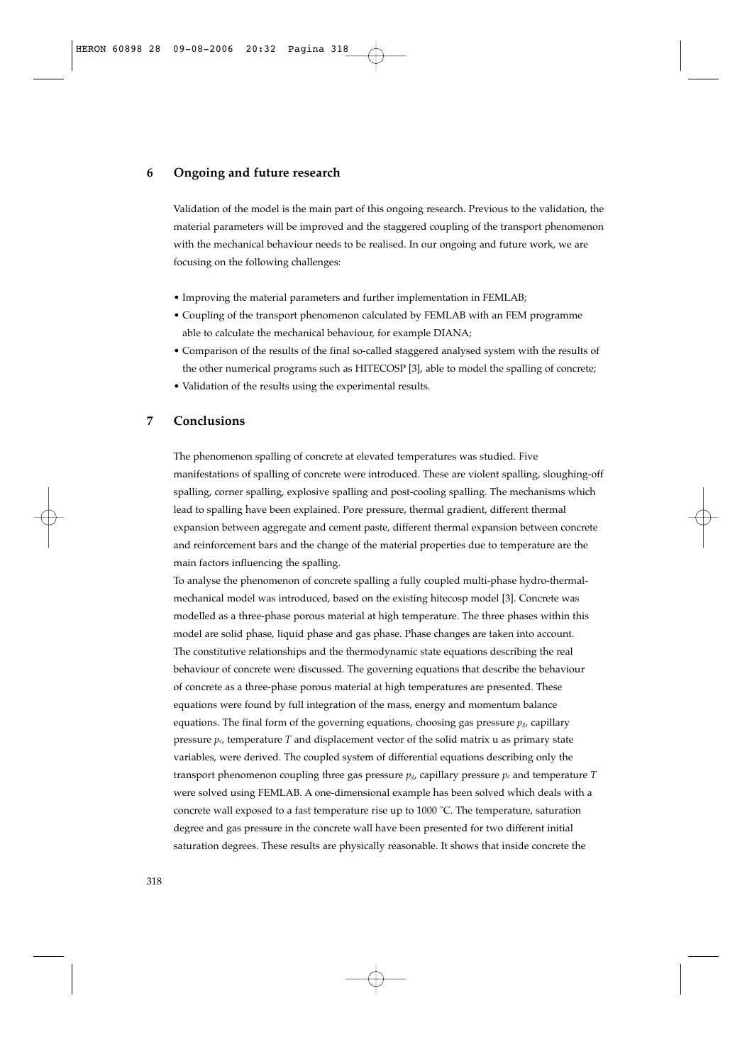## **6 Ongoing and future research**

Validation of the model is the main part of this ongoing research. Previous to the validation, the material parameters will be improved and the staggered coupling of the transport phenomenon with the mechanical behaviour needs to be realised. In our ongoing and future work, we are focusing on the following challenges:

- Improving the material parameters and further implementation in FEMLAB;
- Coupling of the transport phenomenon calculated by FEMLAB with an FEM programme able to calculate the mechanical behaviour, for example DIANA;
- Comparison of the results of the final so-called staggered analysed system with the results of the other numerical programs such as HITECOSP [3], able to model the spalling of concrete;
- Validation of the results using the experimental results.

## **7 Conclusions**

The phenomenon spalling of concrete at elevated temperatures was studied. Five manifestations of spalling of concrete were introduced. These are violent spalling, sloughing-off spalling, corner spalling, explosive spalling and post-cooling spalling. The mechanisms which lead to spalling have been explained. Pore pressure, thermal gradient, different thermal expansion between aggregate and cement paste, different thermal expansion between concrete and reinforcement bars and the change of the material properties due to temperature are the main factors influencing the spalling.

To analyse the phenomenon of concrete spalling a fully coupled multi-phase hydro-thermalmechanical model was introduced, based on the existing hitecosp model [3]. Concrete was modelled as a three-phase porous material at high temperature. The three phases within this model are solid phase, liquid phase and gas phase. Phase changes are taken into account. The constitutive relationships and the thermodynamic state equations describing the real behaviour of concrete were discussed. The governing equations that describe the behaviour of concrete as a three-phase porous material at high temperatures are presented. These equations were found by full integration of the mass, energy and momentum balance equations. The final form of the governing equations, choosing gas pressure  $p_g$ , capillary pressure *pc*, temperature *T* and displacement vector of the solid matrix u as primary state variables, were derived. The coupled system of differential equations describing only the transport phenomenon coupling three gas pressure  $p_{\alpha}$ , capillary pressure  $p_c$  and temperature *T* were solved using FEMLAB. A one-dimensional example has been solved which deals with a concrete wall exposed to a fast temperature rise up to 1000 ˚C. The temperature, saturation degree and gas pressure in the concrete wall have been presented for two different initial saturation degrees. These results are physically reasonable. It shows that inside concrete the